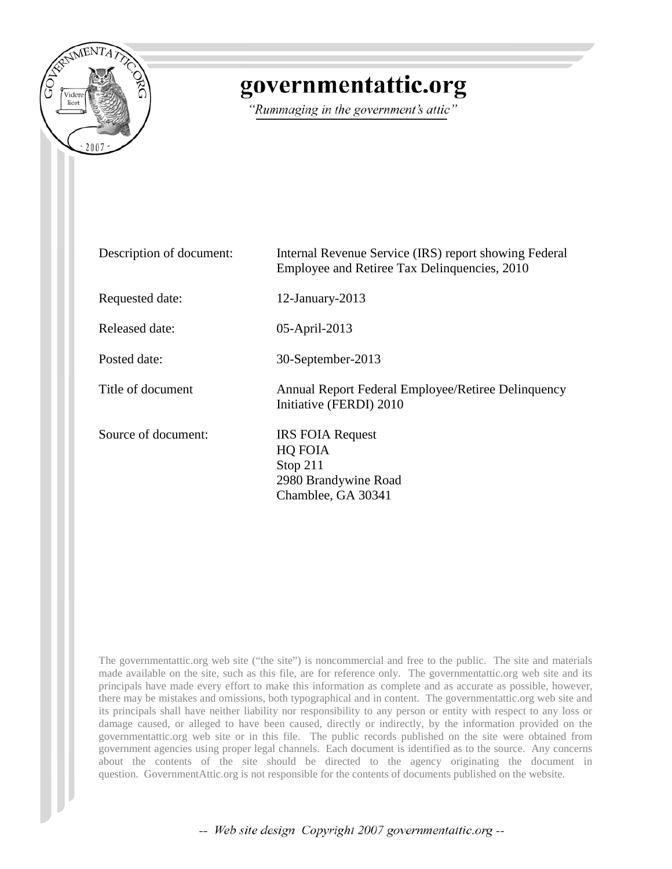

# governmentattic.org

"Rummaging in the government's attic"

| Description of document: | Internal Revenue Service (IRS) report showing Federal<br>Employee and Retiree Tax Delinquencies, 2010 |
|--------------------------|-------------------------------------------------------------------------------------------------------|
| Requested date:          | $12$ -January-2013                                                                                    |
| Released date:           | 05-April-2013                                                                                         |
| Posted date:             | 30-September-2013                                                                                     |
| Title of document        | Annual Report Federal Employee/Retiree Delinquency<br>Initiative (FERDI) 2010                         |
| Source of document:      | <b>IRS FOIA Request</b><br>HQ FOIA<br>Stop $211$<br>2980 Brandywine Road<br>Chamblee, GA 30341        |

The governmentattic.org web site ("the site") is noncommercial and free to the public. The site and materials made available on the site, such as this file, are for reference only. The governmentattic.org web site and its principals have made every effort to make this information as complete and as accurate as possible, however, there may be mistakes and omissions, both typographical and in content. The governmentattic.org web site and its principals shall have neither liability nor responsibility to any person or entity with respect to any loss or damage caused, or alleged to have been caused, directly or indirectly, by the information provided on the governmentattic.org web site or in this file. The public records published on the site were obtained from government agencies using proper legal channels. Each document is identified as to the source. Any concerns about the contents of the site should be directed to the agency originating the document in question. GovernmentAttic.org is not responsible for the contents of documents published on the website.

-- Web site design Copyright 2007 governmentattic.org --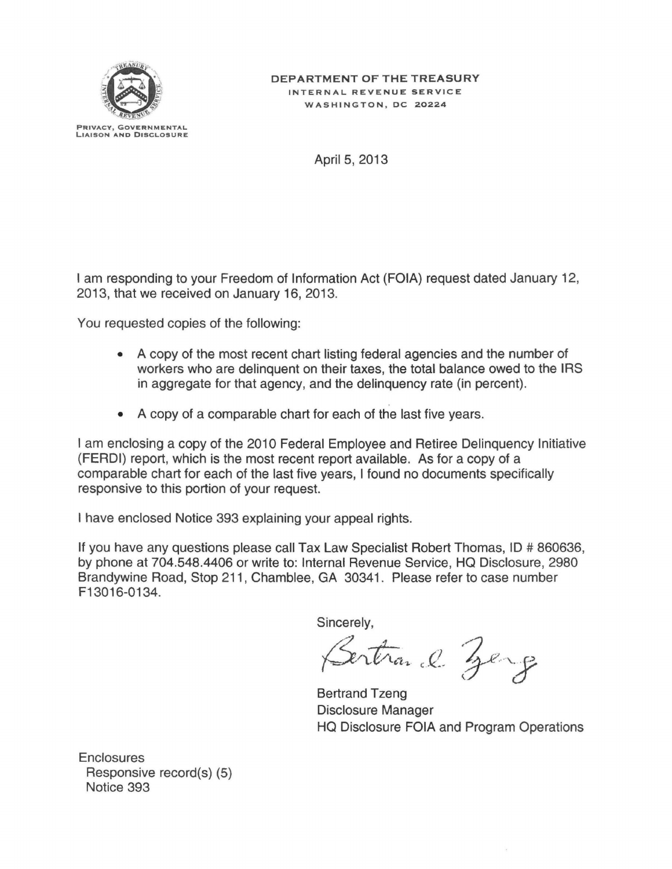

April 5, 2013

I am responding to your Freedom of Information Act (FOIA) request dated January 12, 2013, that we received on January 16, 2013.

You requested copies of the following:

- A copy of the most recent chart listing federal agencies and the number of workers who are delinquent on their taxes, the total balance owed to the IRS in aggregate for that agency, and the delinquency rate (in percent).
- A copy of a comparable chart for each of the last five years.

I am enclosing a copy of the 2010 Federal Employee and Retiree Delinguency Initiative (FERDI) report, which is the most recent report available. As for a copy of a comparable chart for each of the last five years, I found no documents specifically responsive to this portion of your request.

I have enclosed Notice 393 explaining your appeal rights.

If you have any questions please call Tax Law Specialist Robert Thomas, ID  $\# 860636$ , by phone at 704.548.4406 or write to: Internal Revenue Service, HQ Disclosure, 2980 Brandywine Road, Stop 211, Chamblee, GA 30341. Please refer to case number F13016-0134.

Sincerely,

Bertrand Zerg

Bertrand Tzeng Disclosure Manager HQ Disclosure FOIA and Program Operations

**Enclosures** Responsive record(s) (5) Notice 393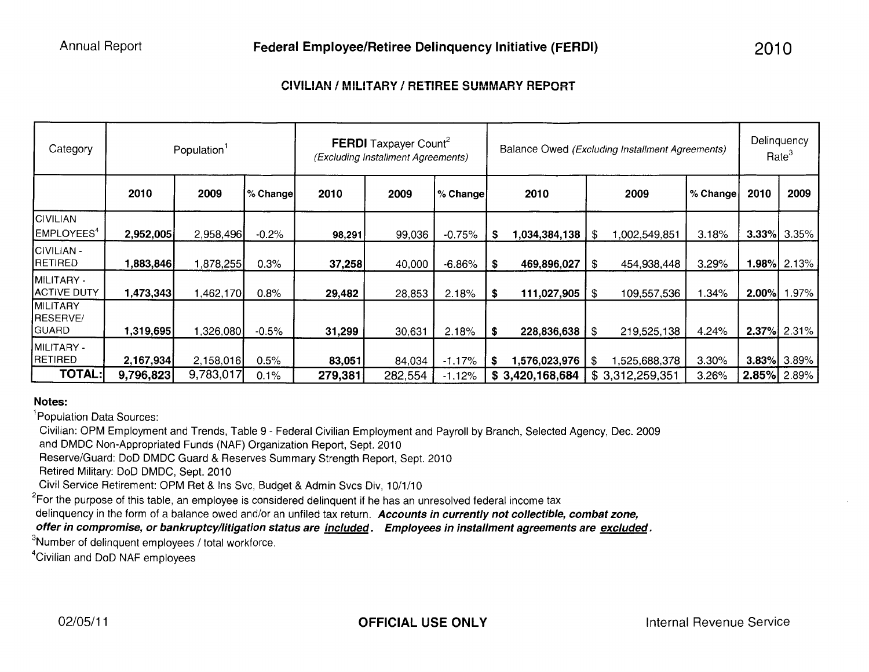## **CIVILIAN I MILITARY I RETIREE SUMMARY REPORT**

| Category                                    |           | Population <sup>1</sup> |          | FERDI Taxpayer Count <sup>2</sup><br>(Excluding Installment Agreements) |         | Balance Owed (Excluding Installment Agreements) |     |                 |      | Delinquency<br>Rate <sup>3</sup> |          |                |                    |
|---------------------------------------------|-----------|-------------------------|----------|-------------------------------------------------------------------------|---------|-------------------------------------------------|-----|-----------------|------|----------------------------------|----------|----------------|--------------------|
|                                             | 2010      | 2009                    | % Change | 2010                                                                    | 2009    | ∣% Change                                       |     | 2010            |      | 2009                             | % Change | 2010           | 2009               |
| <b>CIVILIAN</b><br>EMPLOYEES <sup>4</sup>   | 2,952,005 | 2,958,496               | $-0.2%$  | 98,291                                                                  | 99,036  | $-0.75%$                                        | \$. | 1,034,384,138   | - \$ | ,002,549,851                     | 3.18%    |                | $3.33\%$ 3.35%     |
| CIVILIAN -<br>RETIRED                       | 1,883,846 | 1,878,255               | 0.3%     | 37,258                                                                  | 40,000  | $-6.86%$                                        | S   | 469,896,027     | \$   | 454,938,448                      | 3.29%    |                | <b>1.98%</b> 2.13% |
| MILITARY -<br><b>ACTIVE DUTY</b>            | 1,473,343 | 1,462,170               | 0.8%     | 29,482                                                                  | 28,853  | 2.18%                                           | S   | 111,027,905     | \$   | 109,557,536                      | .34%     | 2.00%          | 1.97%              |
| <b>MILITARY</b><br>RESERVE/<br><b>GUARD</b> | 1,319,695 | 326,080,                | $-0.5%$  | 31,299                                                                  | 30,631  | 2.18%                                           | \$  | 228,836,638     | \$   | 219,525,138                      | 4.24%    |                | $2.37\%$ 2.31%     |
| MILITARY -<br><b>RETIRED</b>                | 2,167,934 | 2,158,016               | 0.5%     | 83,051                                                                  | 84,034  | $-1.17%$                                        | - 5 | 1,576,023,976   | \$   | 1,525,688,378                    | 3.30%    |                | $3.83\%$ 3.89%     |
| <b>TOTAL:</b>                               | 9,796,823 | 9,783,017               | 0.1%     | 279,381                                                                 | 282,554 | $-1.12%$                                        |     | \$3,420,168,684 |      | \$3,312,259,351                  | 3.26%    | $2.85\%$ 2.89% |                    |

### **Notes:**

<sup>1</sup>Population Data Sources:

Civilian: OPM Employment and Trends, Table 9 - Federal Civilian Employment and Payroll by Branch, Selected Agency, Dec. 2009 and DMDC Non-Appropriated Funds (NAF) Organization Report, Sept. 2010

Reserve/Guard: DoD DMDC Guard & Reserves Summary Strength Report, Sept. 2010

Retired Military: DoD DMDC, Sept. 2010

Civil Service Retirement: OPM Ret & Ins Svc, Budget & Admin Svcs Div, 10/1/10

 $^{2}$ For the purpose of this table, an employee is considered delinquent if he has an unresolved federal income tax

delinquency in the form of a balance owed and/or an untiled tax return. **Accounts in currently not collectible, combat zone,** 

**offer in compromise, or bankruptcy/litigation status are included. Employees in installment agreements are excluded.** 

 $3$ Number of delinquent employees / total workforce.<br> $4$ Civilian and DeD NAE employees

Civilian and DoD NAF employees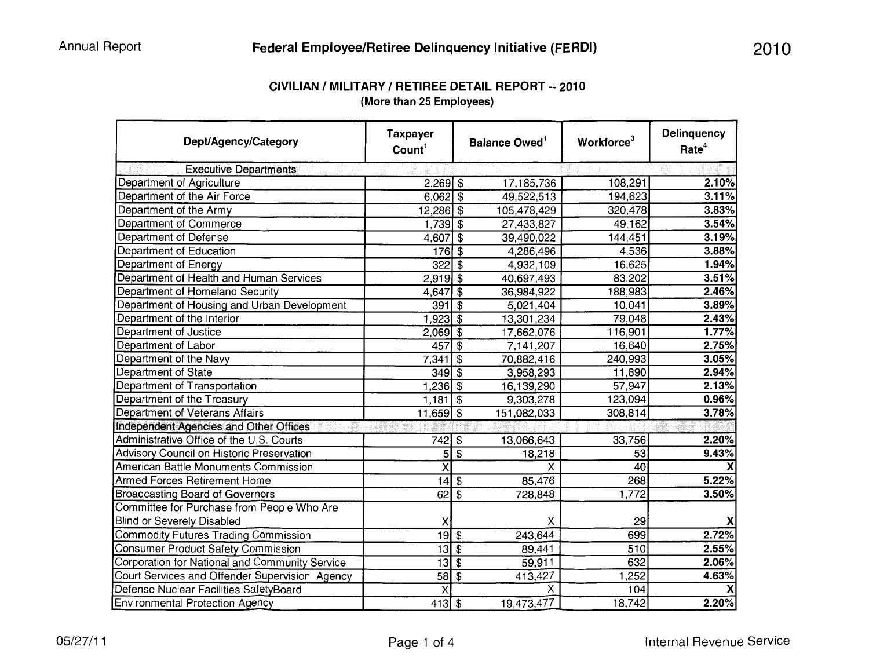| Dept/Agency/Category                             | <b>Taxpayer</b><br>Count <sup>1</sup> |                           | Balance Owed <sup>1</sup> | Workforce <sup>3</sup> | <b>Delinquency</b><br>Rate <sup>4</sup> |  |
|--------------------------------------------------|---------------------------------------|---------------------------|---------------------------|------------------------|-----------------------------------------|--|
| <b>Executive Departments</b>                     |                                       |                           |                           |                        |                                         |  |
| Department of Agriculture                        | $2,269$ \$                            |                           | 17, 185, 736              | 108,291                | 2.10%                                   |  |
| Department of the Air Force                      | $6,062$ \$                            |                           | 49,522,513                | 194,623                | 3.11%                                   |  |
| Department of the Army                           | $12,286$ \$                           |                           | 105,478,429               | 320,478                | 3.83%                                   |  |
| Department of Commerce                           | $1,739$ \$                            |                           | 27,433,827                | 49,162                 | 3.54%                                   |  |
| Department of Defense                            | 4,607                                 | \$                        | 39,490,022                | 144,451                | 3.19%                                   |  |
| Department of Education                          | <b>176</b>                            | $\overline{\mathbf{3}}$   | 4,286,496                 | 4,536                  | 3.88%                                   |  |
| Department of Energy                             | 322                                   | $\sqrt{3}$                | 4,932,109                 | 16,625                 | 1.94%                                   |  |
| Department of Health and Human Services          | $2,919$ \$                            |                           | 40,697,493                | 83,202                 | 3.51%                                   |  |
| Department of Homeland Security                  | 4,647                                 | $\overline{\mathfrak{s}}$ | 36,984,922                | 188,983                | 2.46%                                   |  |
| Department of Housing and Urban Development      | 391                                   | \$                        | 5,021,404                 | 10,041                 | 3.89%                                   |  |
| Department of the Interior                       | $1,923$ \$                            |                           | 13,301,234                | 79,048                 | 2.43%                                   |  |
| <b>Department of Justice</b>                     | $2,069$ \$                            |                           | 17,662,076                | 116,901                | 1.77%                                   |  |
| Department of Labor                              | 457                                   | $\overline{\mathfrak{s}}$ | 7,141,207                 | 16,640                 | 2.75%                                   |  |
| Department of the Navy                           | 7,341                                 | $\overline{\mathfrak{s}}$ | 70,882,416                | 240,993                | 3.05%                                   |  |
| Department of State                              | 349                                   | $\overline{\mathcal{S}}$  | 3,958,293                 | 11,890                 | 2.94%                                   |  |
| Department of Transportation                     | 1,236                                 | $\overline{\$}$           | 16,139,290                | 57,947                 | 2.13%                                   |  |
| Department of the Treasury                       | 1,181                                 | $\overline{\mathbf{s}}$   | 9,303,278                 | 123,094                | 0.96%                                   |  |
| <b>Department of Veterans Affairs</b>            | $11,659$ \$                           |                           | 151,082,033               | 308,814                | 3.78%                                   |  |
| <b>Independent Agencies and Other Offices</b>    |                                       |                           |                           |                        |                                         |  |
| Administrative Office of the U.S. Courts         | $742$ \$                              |                           | 13,066,643                | 33,756                 | 2.20%                                   |  |
| <b>Advisory Council on Historic Preservation</b> | 5 <sup>1</sup>                        | $\overline{\mathfrak{s}}$ | 18,218                    | $\overline{53}$        | 9.43%                                   |  |
| <b>American Battle Monuments Commission</b>      | $\overline{\mathsf{x}}$               |                           | X                         | 40                     |                                         |  |
| <b>Armed Forces Retirement Home</b>              | 14                                    | $\overline{\$}$           | 85,476                    | 268                    | 5.22%                                   |  |
| <b>Broadcasting Board of Governors</b>           | 62                                    | $\overline{\mathfrak{s}}$ | 728,848                   | 1,772                  | 3.50%                                   |  |
| Committee for Purchase from People Who Are       |                                       |                           |                           |                        |                                         |  |
| <b>Blind or Severely Disabled</b>                | х                                     |                           | X                         | 29                     |                                         |  |
| <b>Commodity Futures Trading Commission</b>      | $\overline{19}$ \$                    |                           | 243,644                   | 699                    | 2.72%                                   |  |
| <b>Consumer Product Safety Commission</b>        | $\overline{13}$ $\overline{\$}$       |                           | 89,441                    | 510                    | 2.55%                                   |  |
| Corporation for National and Community Service   | 13                                    | $\overline{\mathbf{e}}$   | 59,911                    | 632                    | 2.06%                                   |  |
| Court Services and Offender Supervision Agency   | 58                                    | $\overline{\$}$           | 413,427                   | 1,252                  | 4.63%                                   |  |
| Defense Nuclear Facilities SafetyBoard           | $\overline{\mathsf{x}}$               |                           | X                         | 104                    |                                         |  |
| <b>Environmental Protection Agency</b>           | $413$ \$                              |                           | 19,473,477                | 18,742                 | 2.20%                                   |  |

## **CIVILIAN I MILITARY I RETIREE DETAIL REPORT-- 2010 (More than 25 Employees)**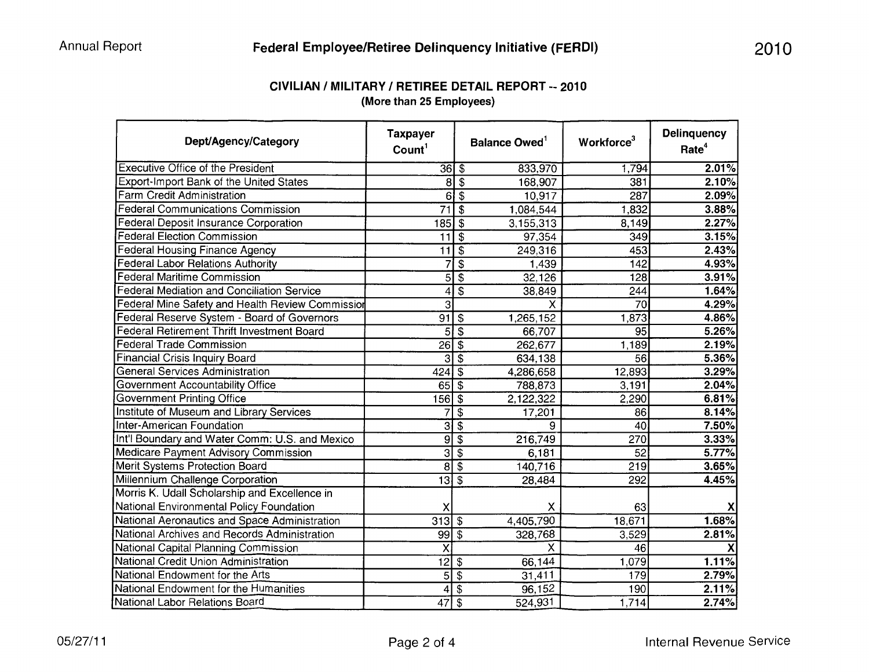| CIVILIAN / MILITARY / RETIREE DETAIL REPORT -- 2010 |
|-----------------------------------------------------|
| (More than 25 Employees)                            |

| Dept/Agency/Category                              | <b>Taxpayer</b><br>Count <sup>1</sup> |                           | Balance Owed <sup>1</sup> | Workforce <sup>3</sup> | <b>Delinquency</b><br>Rate <sup>4</sup> |
|---------------------------------------------------|---------------------------------------|---------------------------|---------------------------|------------------------|-----------------------------------------|
| <b>Executive Office of the President</b>          |                                       | $\overline{3615}$         | 833,970                   | 1,794                  | 2.01%                                   |
| Export-Import Bank of the United States           | 8                                     | \$                        | 168,907                   | 381                    | 2.10%                                   |
| Farm Credit Administration                        | 6                                     | $\overline{\mathcal{S}}$  | 10,917                    | 287                    | 2.09%                                   |
| <b>Federal Communications Commission</b>          | $\overline{71}$                       | $\overline{s}$            | 1,084,544                 | 1,832                  | 3.88%                                   |
| Federal Deposit Insurance Corporation             | 185                                   | l \$                      | 3,155,313                 | 8,149                  | 2.27%                                   |
| <b>Federal Election Commission</b>                | 11                                    | $\overline{\mathbf{3}}$   | 97,354                    | 349                    | 3.15%                                   |
| <b>Federal Housing Finance Agency</b>             | 11                                    | $\overline{\$}$           | 249,316                   | 453                    | 2.43%                                   |
| <b>Federal Labor Relations Authority</b>          | 7                                     | $\overline{\$}$           | 1,439                     | 142                    | 4.93%                                   |
| <b>Federal Maritime Commission</b>                | 5                                     | $\overline{\$}$           | 32,126                    | 128                    | 3.91%                                   |
| <b>Federal Mediation and Conciliation Service</b> | 4                                     | $\overline{\$}$           | 38,849                    | 244                    | 1.64%                                   |
| Federal Mine Safety and Health Review Commission  | $\overline{3}$                        |                           | $\overline{\mathsf{x}}$   | 70                     | 4.29%                                   |
| Federal Reserve System - Board of Governors       | 91                                    | $\sqrt{3}$                | 1,265,152                 | 1,873                  | 4.86%                                   |
| <b>Federal Retirement Thrift Investment Board</b> | 5                                     | $\overline{\mathfrak{s}}$ | 66,707                    | $\overline{95}$        | 5.26%                                   |
| <b>Federal Trade Commission</b>                   | $\overline{26}$                       | $\overline{\mathfrak{s}}$ | 262,677                   | 1,189                  | 2.19%                                   |
| <b>Financial Crisis Inquiry Board</b>             | $\overline{\mathbf{3}}$               | $\overline{\$}$           | 634,138                   | 56                     | 5.36%                                   |
| <b>General Services Administration</b>            | 424                                   | $\overline{\$}$           | 4,286,658                 | 12,893                 | 3.29%                                   |
| Government Accountability Office                  | 65                                    | $\overline{\$}$           | 788,873                   | 3,191                  | 2.04%                                   |
| <b>Government Printing Office</b>                 | $156$ \$                              |                           | 2,122,322                 | 2,290                  | 6.81%                                   |
| Institute of Museum and Library Services          | 7                                     | $\overline{\$}$           | 17,201                    | 86                     | 8.14%                                   |
| <b>Inter-American Foundation</b>                  | 3                                     | $\overline{\mathcal{S}}$  | 9                         | 40                     | 7.50%                                   |
| Int'l Boundary and Water Comm: U.S. and Mexico    | 9                                     | $\overline{\mathbf{e}}$   | 216,749                   | 270                    | 3.33%                                   |
| <b>Medicare Payment Advisory Commission</b>       | $\overline{3}$                        | $\overline{\$}$           | 6,181                     | $\overline{52}$        | 5.77%                                   |
| <b>Merit Systems Protection Board</b>             | 8                                     | $\overline{\$}$           | 140,716                   | 219                    | 3.65%                                   |
| Millennium Challenge Corporation                  | 13                                    | $\overline{\mathfrak{s}}$ | 28,484                    | 292                    | 4.45%                                   |
| Morris K. Udall Scholarship and Excellence in     |                                       |                           |                           |                        |                                         |
| National Environmental Policy Foundation          | х                                     |                           | X                         | 63                     |                                         |
| National Aeronautics and Space Administration     | 313                                   | $\boldsymbol{\mathsf{S}}$ | 4,405,790                 | 18,671                 | 1.68%                                   |
| National Archives and Records Administration      | 99                                    | $\overline{\$}$           | 328,768                   | 3,529                  | 2.81%                                   |
| National Capital Planning Commission              | $\overline{\mathsf{x}}$               |                           | $\overline{\mathsf{x}}$   | $\overline{46}$        |                                         |
| National Credit Union Administration              | $\overline{12}$                       | $\sqrt{3}$                | 66,144                    | 1,079                  | 1.11%                                   |
| National Endowment for the Arts                   | 5                                     | $\overline{\$}$           | 31,411                    | 179                    | 2.79%                                   |
| National Endowment for the Humanities             | 4                                     | $\overline{\$}$           | 96,152                    | 190                    | 2.11%                                   |
| National Labor Relations Board                    | $\overline{47}$                       | $\overline{\$}$           | 524,931                   | 1,714                  | 2.74%                                   |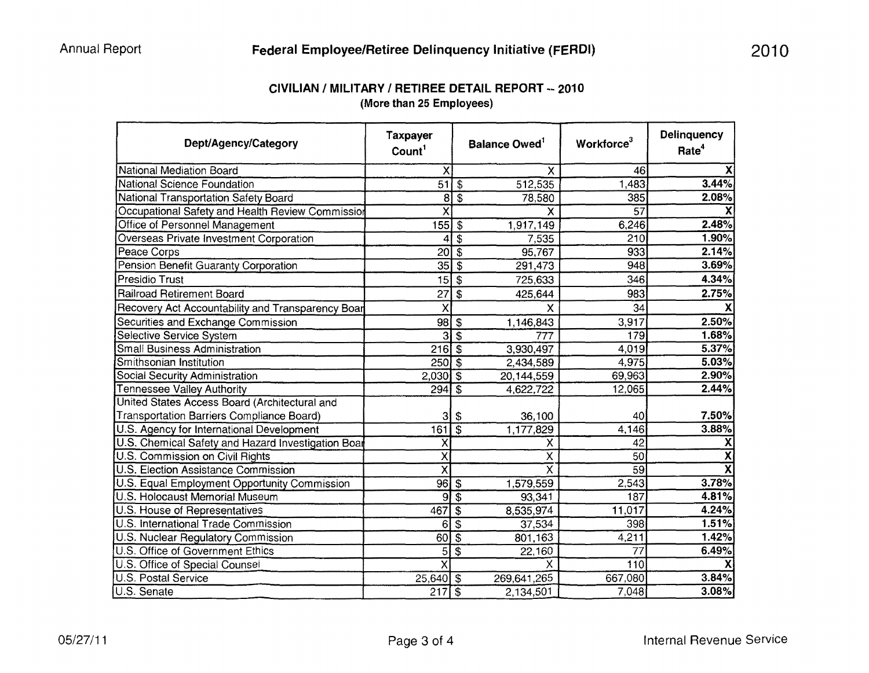| CIVILIAN / MILITARY / RETIREE DETAIL REPORT -- 2010 |  |
|-----------------------------------------------------|--|
| (More than 25 Employees)                            |  |

| Dept/Agency/Category                               | <b>Taxpayer</b><br>Count <sup>1</sup> | <b>Balance Owed</b> <sup>1</sup>               | Workforce <sup>3</sup> | <b>Delinquency</b><br>Rate <sup>4</sup> |
|----------------------------------------------------|---------------------------------------|------------------------------------------------|------------------------|-----------------------------------------|
| <b>National Mediation Board</b>                    | X                                     | X                                              | 46                     | X                                       |
| <b>National Science Foundation</b>                 | $\overline{51}$                       | 512,535<br>$\sqrt{3}$                          | 1,483                  | 3.44%                                   |
| National Transportation Safety Board               | 8                                     | $\overline{\mathcal{S}}$<br>78,580             | 385                    | 2.08%                                   |
| Occupational Safety and Health Review Commission   | $\overline{\mathsf{x}}$               | Χ                                              | 57                     |                                         |
| Office of Personnel Management                     | 155                                   | 1,917,149<br>$\ddot{\bm{\mathcal{S}}}$         | 6,246                  | 2.48%                                   |
| <b>Overseas Private Investment Corporation</b>     | 4                                     | $\overline{\mathcal{L}}$<br>7,535              | 210                    | 1.90%                                   |
| Peace Corps                                        | 20                                    | $\overline{\boldsymbol{\mathsf{s}}}$<br>95,767 | 933                    | 2.14%                                   |
| Pension Benefit Guaranty Corporation               | $\overline{35}$                       | $\overline{\mathfrak{s}}$<br>291,473           | 948                    | 3.69%                                   |
| Presidio Trust                                     | 15                                    | $\overline{\$}$<br>725,633                     | 346                    | 4.34%                                   |
| <b>Railroad Retirement Board</b>                   | 27                                    | \$<br>425,644                                  | 983                    | 2.75%                                   |
| Recovery Act Accountability and Transparency Boar  | X                                     | X                                              | 34                     |                                         |
| Securities and Exchange Commission                 | 98                                    | 1,146,843<br>$\boldsymbol{\mathsf{s}}$         | 3,917                  | 2.50%                                   |
| <b>Selective Service System</b>                    | $\overline{3}$                        | $\overline{\mathcal{S}}$<br>777                | 179                    | 1.68%                                   |
| <b>Small Business Administration</b>               | 2165                                  | 3,930,497                                      | 4,019                  | 5.37%                                   |
| Smithsonian Institution                            | $250\sqrt{3}$                         | 2,434,589                                      | 4,975                  | 5.03%                                   |
| Social Security Administration                     | $2,030$ \$                            | 20,144,559                                     | 69,963                 | 2.90%                                   |
| <b>Tennessee Valley Authority</b>                  | 294                                   | $\overline{s}$<br>4,622,722                    | 12,065                 | 2.44%                                   |
| United States Access Board (Architectural and      |                                       |                                                |                        |                                         |
| Transportation Barriers Compliance Board)          | 3                                     | 36,100<br>\$                                   | 40                     | 7.50%                                   |
| U.S. Agency for International Development          | 161                                   | $\overline{\mathcal{S}}$<br>1,177,829          | 4,146                  | 3.88%                                   |
| U.S. Chemical Safety and Hazard Investigation Boar | Χ                                     | χ                                              | 42                     | X                                       |
| U.S. Commission on Civil Rights                    | $\overline{\mathsf{x}}$               | X                                              | 50                     | $\overline{\mathbf{x}}$                 |
| U.S. Election Assistance Commission                | $\overline{\mathsf{x}}$               | $\overline{\mathsf{x}}$                        | 59                     | $\overline{\mathbf{X}}$                 |
| U.S. Equal Employment Opportunity Commission       | 96                                    | $\overline{\$}$<br>1,579,559                   | 2,543                  | 3.78%                                   |
| <b>U.S. Holocaust Memorial Museum</b>              | $\overline{9}$                        | $\overline{\$}$<br>93,341                      | 187                    | 4.81%                                   |
| U.S. House of Representatives                      | 467                                   | $\overline{\$}$<br>8,535,974                   | 11,017                 | 4.24%                                   |
| U.S. International Trade Commission                | 6                                     | \$<br>37,534                                   | 398                    | 1.51%                                   |
| U.S. Nuclear Regulatory Commission                 | 60                                    | $\overline{\$}$<br>801,163                     | 4,211                  | 1.42%                                   |
| U.S. Office of Government Ethics                   | 5                                     | $\overline{\$}$<br>22,160                      | 77                     | 6.49%                                   |
| U.S. Office of Special Counsel                     | $\overline{\mathsf{x}}$               | X                                              | 110                    |                                         |
| <b>U.S. Postal Service</b>                         | $25,640$ \$                           | 269,641,265                                    | 667,080                | 3.84%                                   |
| U.S. Senate                                        | 217                                   | $\overline{\$}$<br>2,134,501                   | 7,048                  | 3.08%                                   |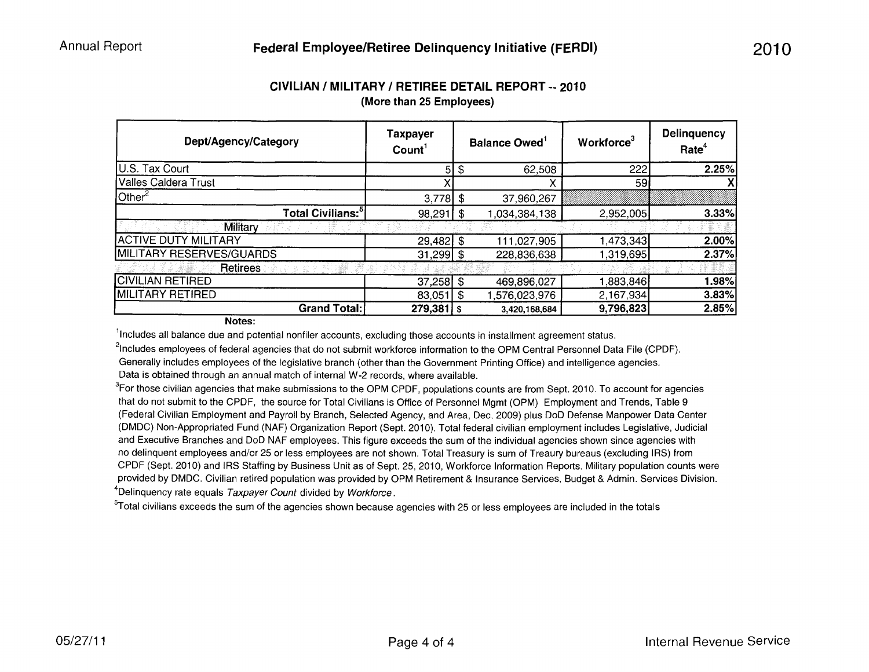| Dept/Agency/Category          | <b>Taxpayer</b><br>Count <sup>1</sup> |     | <b>Balance Owed</b> | Workforce <sup>3</sup> | <b>Delinquency</b><br>Rate <sup>4</sup> |  |
|-------------------------------|---------------------------------------|-----|---------------------|------------------------|-----------------------------------------|--|
| U.S. Tax Court                | 51                                    | \$  | 62,508              | 222                    | 2.25%                                   |  |
| Valles Caldera Trust          |                                       |     |                     | 59                     |                                         |  |
| $\mathsf{l}$ Other $^2$       | $3,778$ \$                            |     | 37,960,267          |                        |                                         |  |
| Total Civilians: <sup>5</sup> | 98,291                                | l S | 1,034,384,138       | 2,952,005              | 3.33%                                   |  |
| Military                      |                                       |     |                     |                        |                                         |  |
| <b>ACTIVE DUTY MILITARY</b>   | $29,482$ \$                           |     | 111,027,905         | 1,473,343              | 2.00%                                   |  |
| MILITARY RESERVES/GUARDS      | $31,299$ \$                           |     | 228,836,638         | 1,319,695              | 2.37%                                   |  |
| <b>Retirees</b>               |                                       |     |                     |                        |                                         |  |
| <b>CIVILIAN RETIRED</b>       | $37,258$ \$                           |     | 469,896,027         | 1,883,846              | 1.98%                                   |  |
| MILITARY RETIRED              | 83,051                                | -\$ | 1,576,023,976       | 2,167,934              | 3.83%                                   |  |
| <b>Grand Total:</b>           | $279,381$ s                           |     | 3,420,168,684       | 9,796,823              | 2.85%                                   |  |

## **CIVILIAN I MILITARY I RETIREE DETAIL REPORT-- 2010 (More than 25 Employees)**

**Notes:** 

<sup>1</sup>Includes all balance due and potential nonfiler accounts, excluding those accounts in installment agreement status.

<sup>2</sup>Includes employees of federal agencies that do not submit workforce information to the OPM Central Personnel Data File (CPDF).

Generally includes employees of the legislative branch (other than the Government Printing Office) and intelligence agencies. Data is obtained through an annual match of internal W-2 records, where available.

 ${}^{3}$ For those civilian agencies that make submissions to the OPM CPDF, populations counts are from Sept. 2010. To account for agencies that do not submit to the CPDF, the source for Total Civilians is Office of Personnel Mgmt (OPM) Employment and Trends, Table 9 (Federal Civilian Employment and Payroll by Branch, Selected Agency, and Area, Dec. 2009) plus DoD Defense Manpower Data Center (DMDC) Non-Appropriated Fund (NAF) Organization Report (Sept. 2010). Total federal civilian employment includes Legislative, Judicial and Executive Branches and DoD NAF employees. This figure exceeds the sum of the individual agencies shown since agencies with no delinquent employees and/or 25 or less employees are not shown. Total Treasury is sum of Treaury bureaus (excluding IRS) from CPDF (Sept. 2010) and IRS Staffing by Business Unit as of Sept. 25, 2010, Workforce Information Reports. Military population counts were provided by DMDC. Civilian retired population was provided by OPM Retirement & Insurance Services, Budget & Admin. Services Division. <sup>4</sup>Delinquency rate equals Taxpayer Count divided by Workforce.

<sup>5</sup>Total civilians exceeds the sum of the agencies shown because agencies with 25 or less employees are included in the totals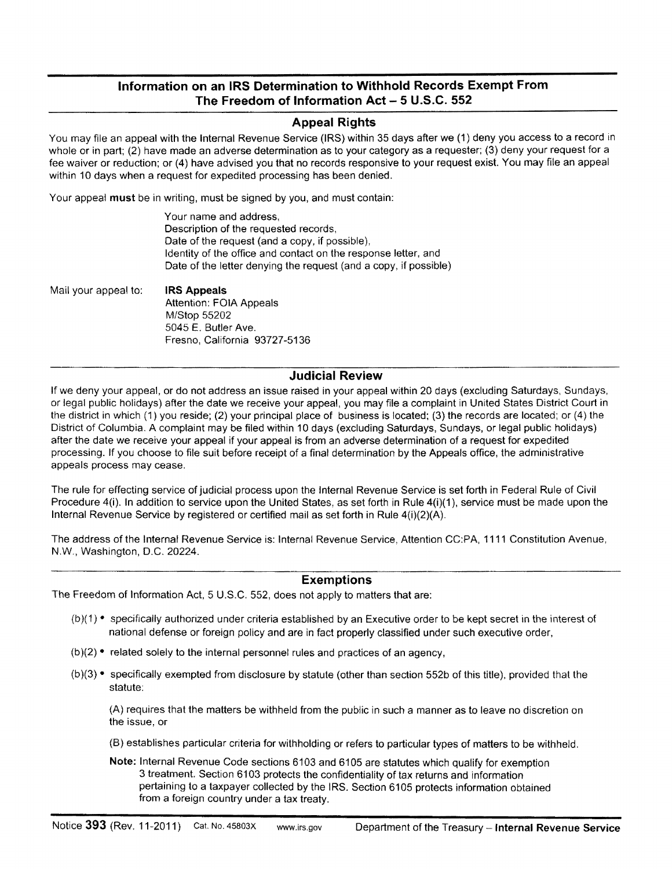## **Information on an IRS Determination to Withhold Records Exempt From The Freedom of Information Act - 5 U.S.C. 552**

### **Appeal Rights**

You may file an appeal with the Internal Revenue Service (IRS) within 35 days after we (1) deny you access to a record in whole or in part; (2) have made an adverse determination as to your category as a requester; (3) deny your request for a fee waiver or reduction; or (4) have advised you that no records responsive to your request exist. You may file an appeal within 10 days when a request for expedited processing has been denied.

Your appeal **must** be in writing, must be signed by you, and must contain:

Mail your appeal to: **IRS Appeals**  Attention: FOIA Appeals M/Stop 55202 5045 E. Butler Ave. Fresno, California 93727-5136

#### **Judicial Review**

If we deny your appeal, or do not address an issue raised in your appeal within 20 days (excluding Saturdays, Sundays, or legal public holidays) after the date we receive your appeal, you may file a complaint in United States District Court in the district in which (1) you reside; (2) your principal place of business is located; (3) the records are located; or (4) the District of Columbia. A complaint may be filed within 10 days (excluding Saturdays, Sundays, or legal public holidays) after the date we receive your appeal if your appeal is from an adverse determination of a request for expedited processing. If you choose to file suit before receipt of a final determination by the Appeals office, the administrative appeals process may cease.

The rule for effecting service of judicial process upon the Internal Revenue Service is set forth in Federal Rule of Civil Procedure 4(i). In addition to service upon the United States, as set forth in Rule 4(i)(1), service must be made upon the Internal Revenue Service by registered or certified mail as set forth in Rule 4(i)(2)(A).

The address of the Internal Revenue Service is: Internal Revenue Service, Attention CC:PA, 1111 Constitution Avenue, N.W., Washington, D.C. 20224.

#### **Exemptions**

The Freedom of Information Act, 5 U.S.C. 552, does not apply to matters that are:

- $(b)(1)$  specifically authorized under criteria established by an Executive order to be kept secret in the interest of national defense or foreign policy and are in fact properly classified under such executive order,
- $(b)(2)$  related solely to the internal personnel rules and practices of an agency,
- (b)(3) specifically exempted from disclosure by statute (other than section 552b of this title), provided that the statute:

(A) requires that the matters be withheld from the public in such a manner as to leave no discretion on the issue, or

(B) establishes particular criteria for withholding or refers to particular types of matters to be withheld.

**Note:** Internal Revenue Code sections 6103 and 6105 are statutes which qualify for exemption 3 treatment. Section 6103 protects the confidentiality of tax returns and information pertaining to a taxpayer collected by the IRS. Section 6105 protects information obtained from a foreign country under a tax treaty.